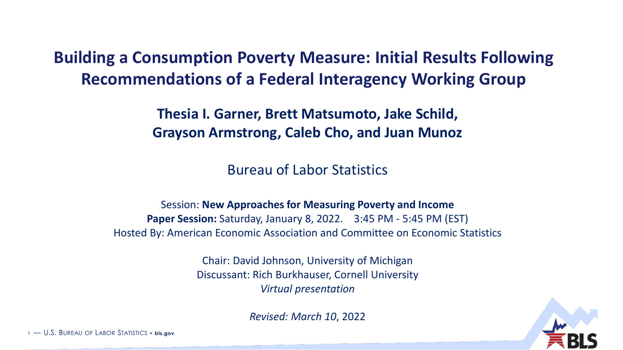**Building a Consumption Poverty Measure: Initial Results Following Recommendations of a Federal Interagency Working Group**

> **Thesia I. Garner, Brett Matsumoto, Jake Schild, Grayson Armstrong, Caleb Cho, and Juan Munoz**

> > Bureau of Labor Statistics

Session: **New Approaches for Measuring Poverty and Income Paper Session:** Saturday, January 8, 2022. 3:45 PM - 5:45 PM (EST) Hosted By: American Economic Association and Committee on Economic Statistics

> Chair: David Johnson, University of Michigan Discussant: Rich Burkhauser, Cornell University *Virtual presentation*

> > *Revised: March 10*, 2022



1 — U.S. BUREAU OF LABOR STATISTICS • **bls.gov**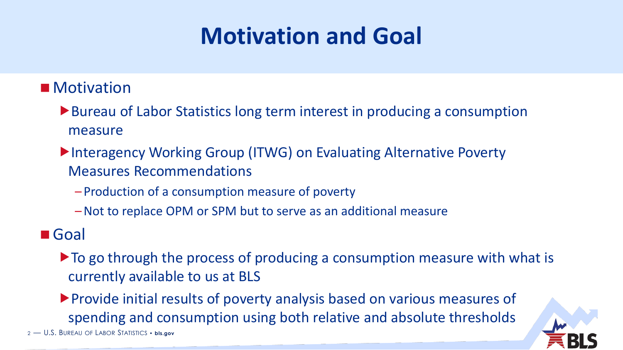# **Motivation and Goal**

#### **Motivation**

- ▶ Bureau of Labor Statistics long term interest in producing a consumption measure
- ▶ Interagency Working Group (ITWG) on Evaluating Alternative Poverty Measures Recommendations
	- Production of a consumption measure of poverty
	- –Not to replace OPM or SPM but to serve as an additional measure

#### ■ Goal

2 — U.S. BUREAU OF LABOR STATISTICS • **bls.gov**

- $\triangleright$  To go through the process of producing a consumption measure with what is currently available to us at BLS
- Provide initial results of poverty analysis based on various measures of spending and consumption using both relative and absolute thresholds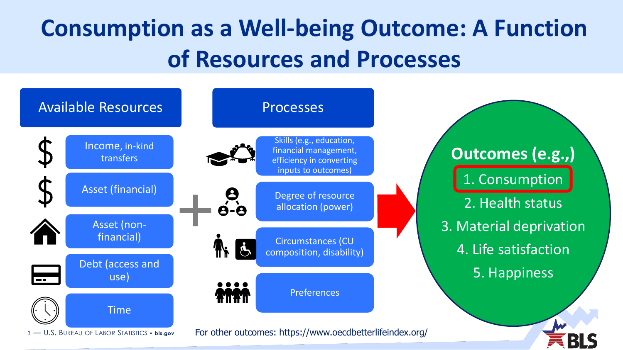# **Consumption as a Well-being Outcome: A Function of Resources and Processes**

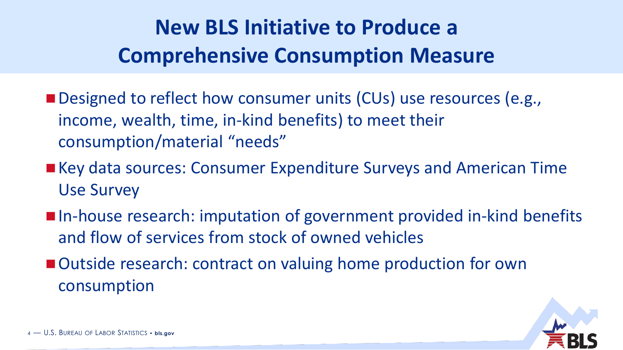# **New BLS Initiative to Produce a Comprehensive Consumption Measure**

- Designed to reflect how consumer units (CUs) use resources (e.g., income, wealth, time, in-kind benefits) to meet their consumption/material "needs"
- Key data sources: Consumer Expenditure Surveys and American Time Use Survey
- In-house research: imputation of government provided in-kind benefits and flow of services from stock of owned vehicles
- Outside research: contract on valuing home production for own consumption

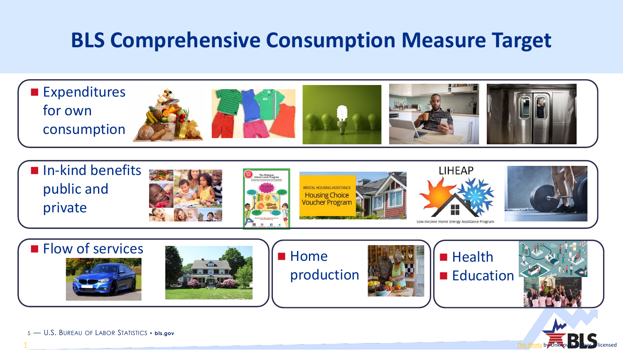## **BLS Comprehensive Consumption Measure Target**

**Expenditures** for own consumption In-kind benefits **LIHEAP** public and **RENTAL HOUSING ASSISTANCE Housing Choice** 















5 — U.S. BUREAU OF LABOR STATISTICS • **bls.gov**

[T](https://www.counterview.net/2020/08/new-education-policy-promoting-sanskrit.html)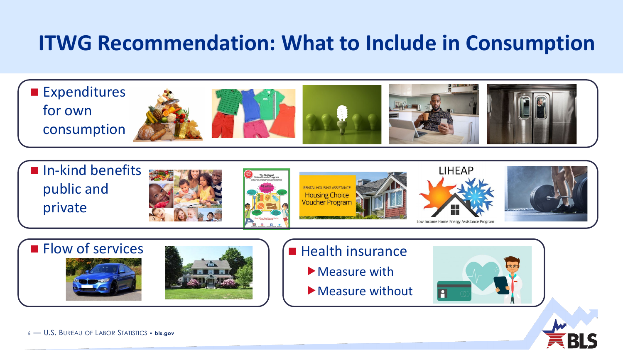# **ITWG Recommendation: What to Include in Consumption**

**Expenditures** for own consumption















- **Measure with**
- Measure without



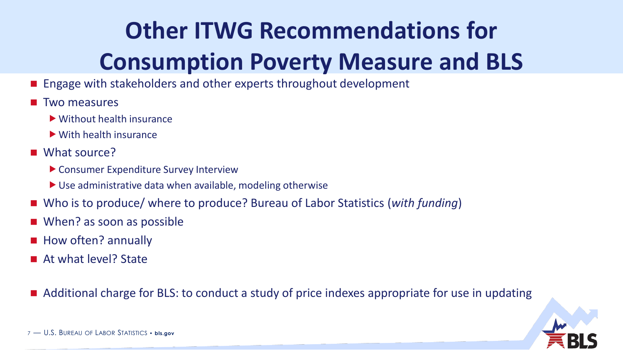# **Other ITWG Recommendations for Consumption Poverty Measure and BLS**

- Engage with stakeholders and other experts throughout development
- Two measures
	- Without health insurance
	- With health insurance
- What source?
	- Consumer Expenditure Survey Interview
	- ▶ Use administrative data when available, modeling otherwise
- Who is to produce/ where to produce? Bureau of Labor Statistics (*with funding*)
- When? as soon as possible
- How often? annually
- **At what level? State**
- Additional charge for BLS: to conduct a study of price indexes appropriate for use in updating

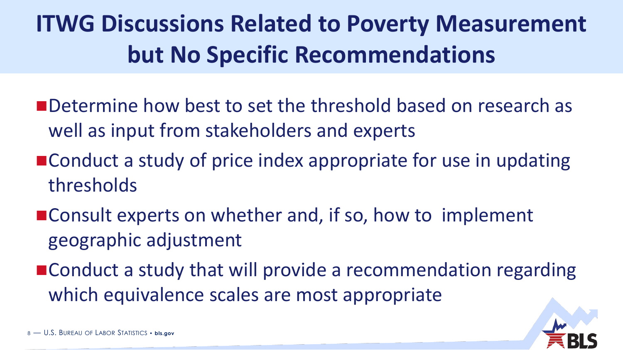# **ITWG Discussions Related to Poverty Measurement but No Specific Recommendations**

- **n** Determine how best to set the threshold based on research as well as input from stakeholders and experts
- Conduct a study of price index appropriate for use in updating thresholds
- Consult experts on whether and, if so, how to implement geographic adjustment
- Conduct a study that will provide a recommendation regarding which equivalence scales are most appropriate

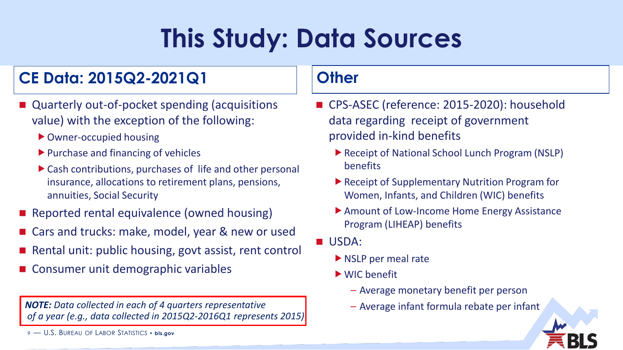# **This Study: Data Sources**

#### **CE Data: 2015Q2-2021Q1**

- Quarterly out-of-pocket spending (acquisitions value) with the exception of the following:
	- Owner-occupied housing
	- $\blacktriangleright$  Purchase and financing of vehicles
	- Cash contributions, purchases of life and other personal insurance, allocations to retirement plans, pensions, annuities, Social Security
- **Reported rental equivalence (owned housing)**
- Cars and trucks: make, model, year & new or used
- Rental unit: public housing, govt assist, rent control
- Consumer unit demographic variables

*NOTE: Data collected in each of 4 quarters representative* $\blacksquare$  **- Average infant formula rebate per infant** *of a year (e.g., data collected in 2015Q2-2016Q1 represents 2015)*

9 — U.S. BUREAU OF LABOR STATISTICS • **bls.gov**

#### **Other**

- CPS-ASEC (reference: 2015-2020): household data regarding receipt of government provided in-kind benefits
	- ▶ Receipt of National School Lunch Program (NSLP) benefits
	- ▶ Receipt of Supplementary Nutrition Program for Women, Infants, and Children (WIC) benefits
	- ▶ Amount of Low-Income Home Energy Assistance Program (LIHEAP) benefits
- USDA:
	- NSLP per meal rate
	- WIC benefit
		- Average monetary benefit per person
		-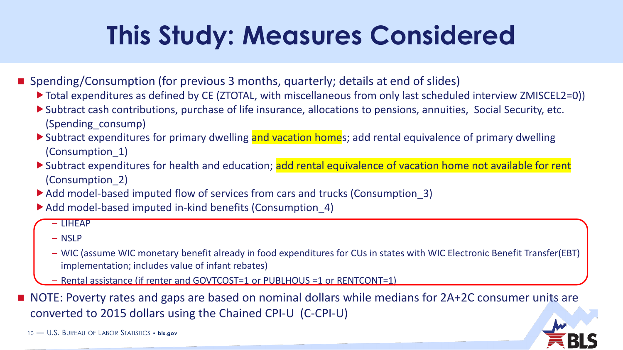# **This Study: Measures Considered**

- Spending/Consumption (for previous 3 months, quarterly; details at end of slides)
	- ▶ Total expenditures as defined by CE (ZTOTAL, with miscellaneous from only last scheduled interview ZMISCEL2=0))
	- Subtract cash contributions, purchase of life insurance, allocations to pensions, annuities, Social Security, etc. (Spending\_consump)
	- Subtract expenditures for primary dwelling and vacation homes; add rental equivalence of primary dwelling (Consumption\_1)
	- Subtract expenditures for health and education; add rental equivalence of vacation home not available for rent (Consumption\_2)
	- ▶ Add model-based imputed flow of services from cars and trucks (Consumption 3)
	- Add model-based imputed in-kind benefits (Consumption 4)
		- LIHEAP
		- NSLP
		- WIC (assume WIC monetary benefit already in food expenditures for CUs in states with WIC Electronic Benefit Transfer(EBT) implementation; includes value of infant rebates)
		- Rental assistance (if renter and GOVTCOST=1 or PUBLHOUS =1 or RENTCONT=1)

■ NOTE: Poverty rates and gaps are based on nominal dollars while medians for 2A+2C consumer units are converted to 2015 dollars using the Chained CPI-U (C-CPI-U)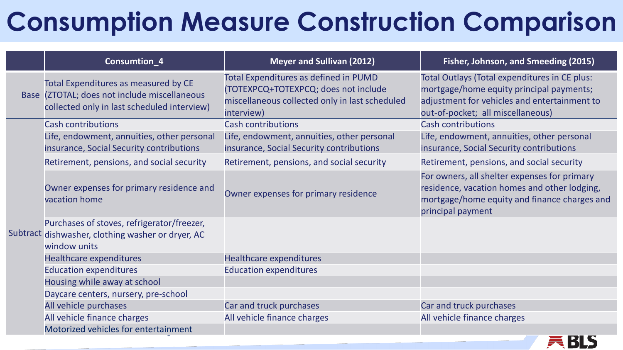# **Consumption Measure Construction Comparison**

|  | Consumtion_4                                                                                                                        | <b>Meyer and Sullivan (2012)</b>                                                                                                              | Fisher, Johnson, and Smeeding (2015)                                                                                                                                           |
|--|-------------------------------------------------------------------------------------------------------------------------------------|-----------------------------------------------------------------------------------------------------------------------------------------------|--------------------------------------------------------------------------------------------------------------------------------------------------------------------------------|
|  | Total Expenditures as measured by CE<br>Base (ZTOTAL; does not include miscellaneous<br>collected only in last scheduled interview) | Total Expenditures as defined in PUMD<br>(TOTEXPCQ+TOTEXPCQ; does not include<br>miscellaneous collected only in last scheduled<br>interview) | Total Outlays (Total expenditures in CE plus:<br>mortgage/home equity principal payments;<br>adjustment for vehicles and entertainment to<br>out-of-pocket; all miscellaneous) |
|  | <b>Cash contributions</b>                                                                                                           | <b>Cash contributions</b>                                                                                                                     | <b>Cash contributions</b>                                                                                                                                                      |
|  | Life, endowment, annuities, other personal<br>insurance, Social Security contributions                                              | Life, endowment, annuities, other personal<br>insurance, Social Security contributions                                                        | Life, endowment, annuities, other personal<br>insurance, Social Security contributions                                                                                         |
|  | Retirement, pensions, and social security                                                                                           | Retirement, pensions, and social security                                                                                                     | Retirement, pensions, and social security                                                                                                                                      |
|  | Owner expenses for primary residence and<br>vacation home                                                                           | Owner expenses for primary residence                                                                                                          | For owners, all shelter expenses for primary<br>residence, vacation homes and other lodging,<br>mortgage/home equity and finance charges and<br>principal payment              |
|  | Purchases of stoves, refrigerator/freezer,<br>Subtract dishwasher, clothing washer or dryer, AC<br>window units                     |                                                                                                                                               |                                                                                                                                                                                |
|  | <b>Healthcare expenditures</b>                                                                                                      | <b>Healthcare expenditures</b>                                                                                                                |                                                                                                                                                                                |
|  | <b>Education expenditures</b>                                                                                                       | <b>Education expenditures</b>                                                                                                                 |                                                                                                                                                                                |
|  | Housing while away at school                                                                                                        |                                                                                                                                               |                                                                                                                                                                                |
|  | Daycare centers, nursery, pre-school                                                                                                |                                                                                                                                               |                                                                                                                                                                                |
|  | All vehicle purchases                                                                                                               | Car and truck purchases                                                                                                                       | Car and truck purchases                                                                                                                                                        |
|  | All vehicle finance charges                                                                                                         | All vehicle finance charges                                                                                                                   | All vehicle finance charges                                                                                                                                                    |
|  | Motorized vehicles for entertainment                                                                                                |                                                                                                                                               |                                                                                                                                                                                |

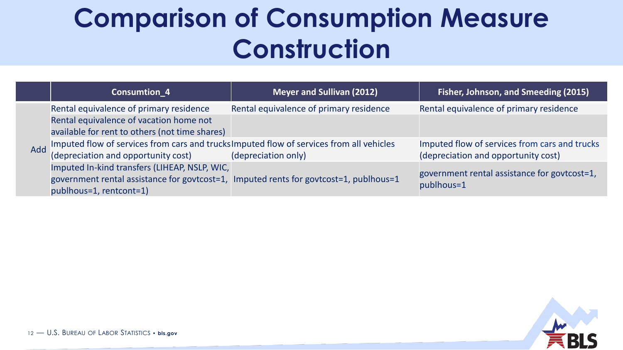# **Comparison of Consumption Measure Construction**

|     | Consumtion <sub>4</sub>                                                                                                                             | <b>Meyer and Sullivan (2012)</b>        | Fisher, Johnson, and Smeeding (2015)          |
|-----|-----------------------------------------------------------------------------------------------------------------------------------------------------|-----------------------------------------|-----------------------------------------------|
|     | Rental equivalence of primary residence                                                                                                             | Rental equivalence of primary residence | Rental equivalence of primary residence       |
| Add | Rental equivalence of vacation home not                                                                                                             |                                         |                                               |
|     | available for rent to others (not time shares)                                                                                                      |                                         |                                               |
|     | Imputed flow of services from cars and trucks imputed flow of services from all vehicles<br>(depreciation and opportunity cost) (depreciation only) |                                         | Imputed flow of services from cars and trucks |
|     | (depreciation and opportunity cost)                                                                                                                 |                                         | (depreciation and opportunity cost)           |
|     | Imputed In-kind transfers (LIHEAP, NSLP, WIC,                                                                                                       |                                         | government rental assistance for govtcost=1,  |
|     | government rental assistance for govtcost=1, Imputed rents for govtcost=1, publhous=1<br>publhous=1, rentcont=1)                                    |                                         | publhous=1                                    |

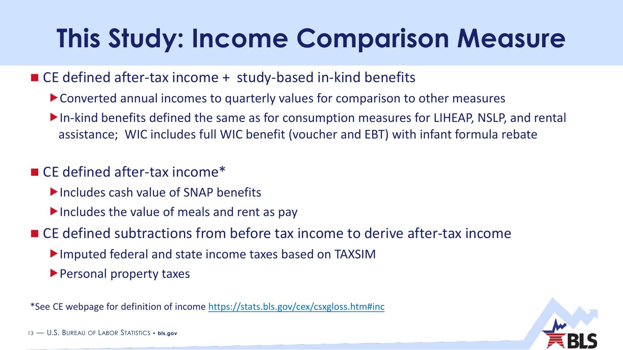# **This Study: Income Comparison Measure**

#### ■ CE defined after-tax income + study-based in-kind benefits

- Converted annual incomes to quarterly values for comparison to other measures
- In-kind benefits defined the same as for consumption measures for LIHEAP, NSLP, and rental assistance; WIC includes full WIC benefit (voucher and EBT) with infant formula rebate

#### ■ CE defined after-tax income\*

- Includes cash value of SNAP benefits
- $\blacktriangleright$  Includes the value of meals and rent as pay
- CE defined subtractions from before tax income to derive after-tax income
	- Imputed federal and state income taxes based on TAXSIM
	- **Personal property taxes**

\*See CE webpage for definition of income <https://stats.bls.gov/cex/csxgloss.htm#inc>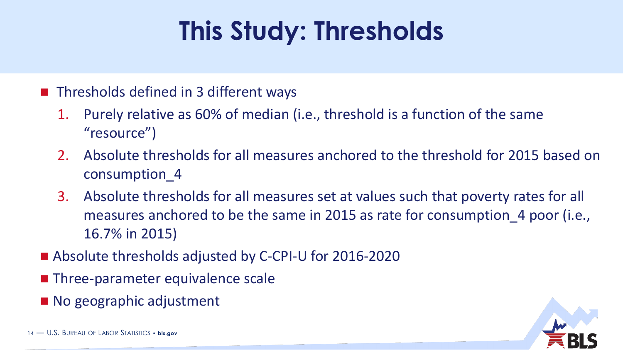# **This Study: Thresholds**

#### **Thresholds defined in 3 different ways**

- 1. Purely relative as 60% of median (i.e., threshold is a function of the same "resource")
- 2. Absolute thresholds for all measures anchored to the threshold for 2015 based on consumption\_4
- 3. Absolute thresholds for all measures set at values such that poverty rates for all measures anchored to be the same in 2015 as rate for consumption\_4 poor (i.e., 16.7% in 2015)
- Absolute thresholds adjusted by C-CPI-U for 2016-2020
- **Three-parameter equivalence scale**
- No geographic adjustment

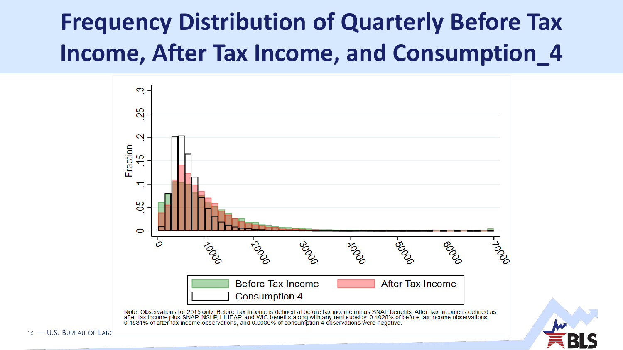# **Frequency Distribution of Quarterly Before Tax Income, After Tax Income, and Consumption\_4**



after tax income plus SNAP, NSLP, LIHEAP, and WIC benefits along with any rent subsidy. 0.1028% of before tax income observations, 0.1531% of after tax income observations, and 0.0000% of consumption 4 observations were negative.

15 — U.S. BURFAU OF LABO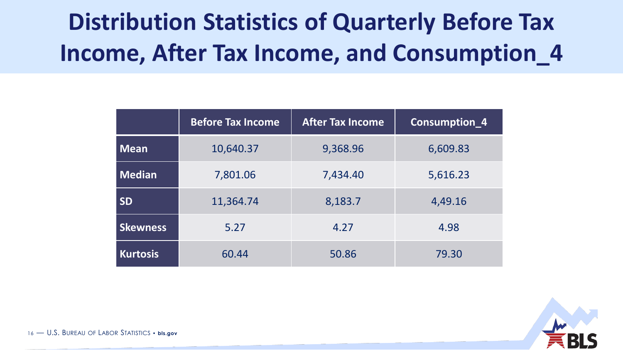# **Distribution Statistics of Quarterly Before Tax Income, After Tax Income, and Consumption\_4**

|                 | <b>Before Tax Income</b> | <b>After Tax Income</b> | Consumption_4 |
|-----------------|--------------------------|-------------------------|---------------|
| Mean            | 10,640.37                | 9,368.96                | 6,609.83      |
| Median          | 7,801.06                 | 7,434.40                | 5,616.23      |
| <b>SD</b>       | 11,364.74                | 8,183.7                 | 4,49.16       |
| <b>Skewness</b> | 5.27                     | 4.27                    | 4.98          |
| <b>Kurtosis</b> | 60.44                    | 50.86                   | 79.30         |



16 — U.S. BUREAU OF LABOR STATISTICS • **bls.gov**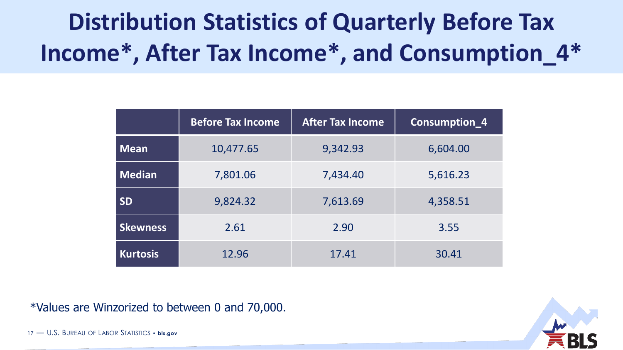# **Distribution Statistics of Quarterly Before Tax Income\*, After Tax Income\*, and Consumption\_4\***

|                 | <b>Before Tax Income</b> | <b>After Tax Income</b> | Consumption <sub>4</sub> |
|-----------------|--------------------------|-------------------------|--------------------------|
| <b>Mean</b>     | 10,477.65                | 9,342.93                | 6,604.00                 |
| Median          | 7,801.06                 | 7,434.40                | 5,616.23                 |
| <b>SD</b>       | 9,824.32                 | 7,613.69                | 4,358.51                 |
| <b>Skewness</b> | 2.61                     | 2.90                    | 3.55                     |
| <b>Kurtosis</b> | 12.96                    | 17.41                   | 30.41                    |

\*Values are Winzorized to between 0 and 70,000.

17 — U.S. BUREAU OF LABOR STATISTICS • **bls.gov**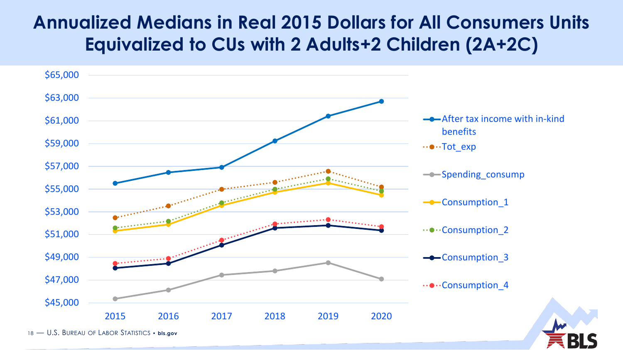### **Annualized Medians in Real 2015 Dollars for All Consumers Units Equivalized to CUs with 2 Adults+2 Children (2A+2C)**

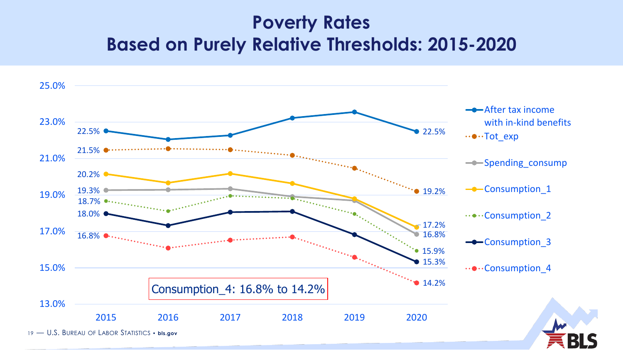### **Poverty Rates Based on Purely Relative Thresholds: 2015-2020**

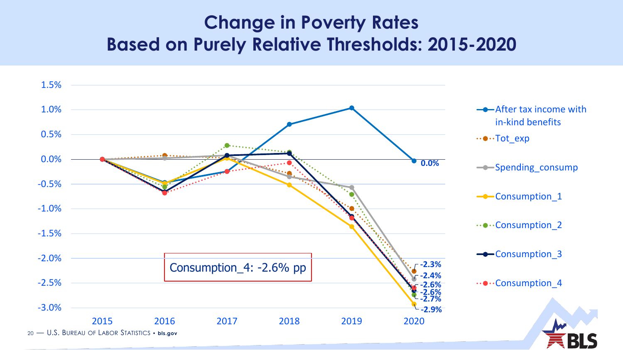#### **Change in Poverty Rates Based on Purely Relative Thresholds: 2015-2020**

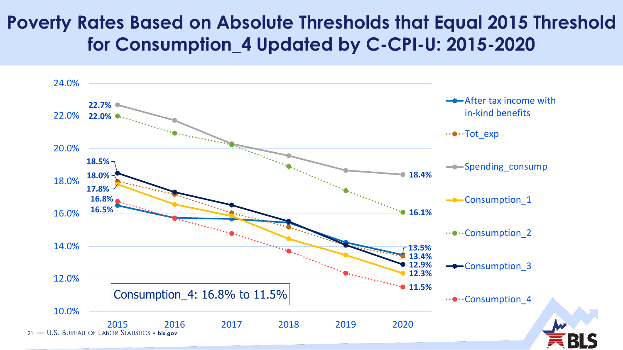#### **Poverty Rates Based on Absolute Thresholds that Equal 2015 Threshold for Consumption\_4 Updated by C-CPI-U: 2015-2020**

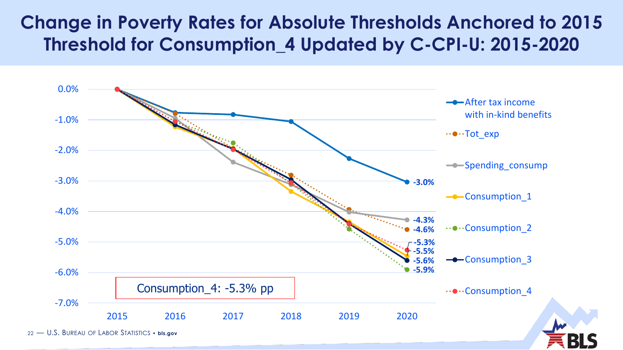### **Change in Poverty Rates for Absolute Thresholds Anchored to 2015 Threshold for Consumption\_4 Updated by C-CPI-U: 2015-2020**

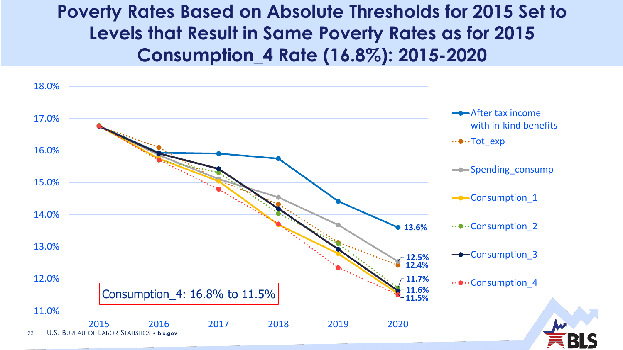### **Poverty Rates Based on Absolute Thresholds for 2015 Set to Levels that Result in Same Poverty Rates as for 2015 Consumption\_4 Rate (16.8%): 2015-2020**

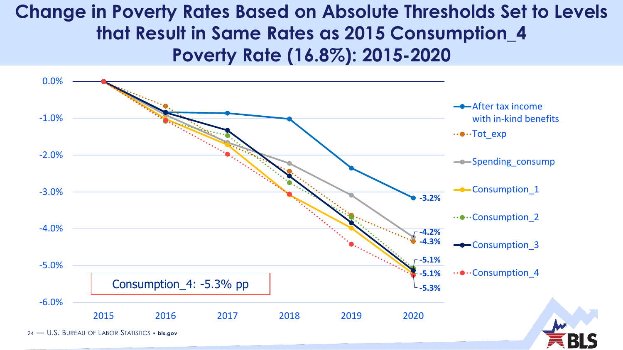### **Change in Poverty Rates Based on Absolute Thresholds Set to Levels that Result in Same Rates as 2015 Consumption\_4 Poverty Rate (16.8%): 2015-2020**

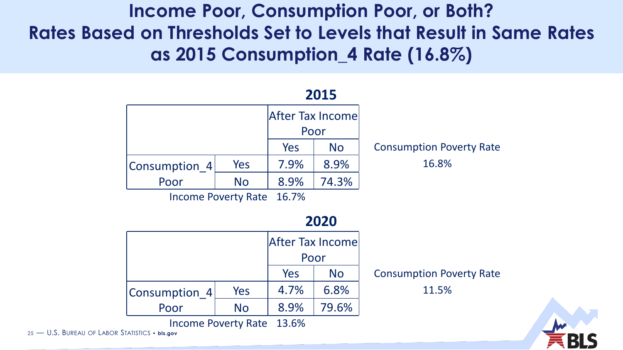**Income Poor, Consumption Poor, or Both? Rates Based on Thresholds Set to Levels that Result in Same Rates as 2015 Consumption\_4 Rate (16.8%)**



25 — U.S. BUREAU OF LABOR STATISTICS • **bls.gov**

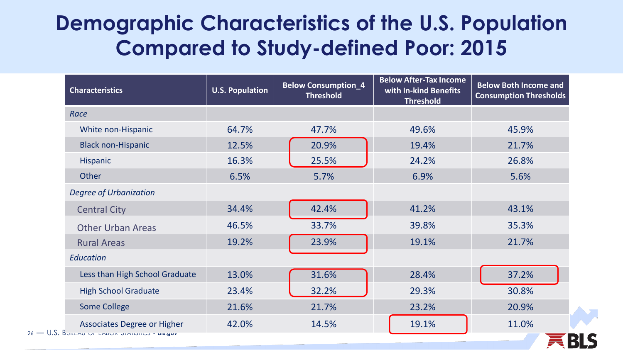### **Demographic Characteristics of the U.S. Population Compared to Study-defined Poor: 2015**

| <b>Characteristics</b>                                                                 | <b>U.S. Population</b> | <b>Below Consumption_4</b><br><b>Threshold</b> | <b>Below After-Tax Income</b><br>with In-kind Benefits<br><b>Threshold</b> | <b>Below Both Income and</b><br><b>Consumption Thresholds</b> |
|----------------------------------------------------------------------------------------|------------------------|------------------------------------------------|----------------------------------------------------------------------------|---------------------------------------------------------------|
| Race                                                                                   |                        |                                                |                                                                            |                                                               |
| White non-Hispanic                                                                     | 64.7%                  | 47.7%                                          | 49.6%                                                                      | 45.9%                                                         |
| <b>Black non-Hispanic</b>                                                              | 12.5%                  | 20.9%                                          | 19.4%                                                                      | 21.7%                                                         |
| Hispanic                                                                               | 16.3%                  | 25.5%                                          | 24.2%                                                                      | 26.8%                                                         |
| Other                                                                                  | 6.5%                   | 5.7%                                           | 6.9%                                                                       | 5.6%                                                          |
| <b>Degree of Urbanization</b>                                                          |                        |                                                |                                                                            |                                                               |
| <b>Central City</b>                                                                    | 34.4%                  | 42.4%                                          | 41.2%                                                                      | 43.1%                                                         |
| <b>Other Urban Areas</b>                                                               | 46.5%                  | 33.7%                                          | 39.8%                                                                      | 35.3%                                                         |
| <b>Rural Areas</b>                                                                     | 19.2%                  | 23.9%                                          | 19.1%                                                                      | 21.7%                                                         |
| Education                                                                              |                        |                                                |                                                                            |                                                               |
| Less than High School Graduate                                                         | 13.0%                  | 31.6%                                          | 28.4%                                                                      | 37.2%                                                         |
| <b>High School Graduate</b>                                                            | 23.4%                  | 32.2%                                          | 29.3%                                                                      | 30.8%                                                         |
| <b>Some College</b>                                                                    | 21.6%                  | 21.7%                                          | 23.2%                                                                      | 20.9%                                                         |
| <b>Associates Degree or Higher</b><br>$26 - 0.5$ . BUREAU OF LADOR JIAIDIICS • DIS.gov | 42.0%                  | 14.5%                                          | 19.1%                                                                      | 11.0%                                                         |

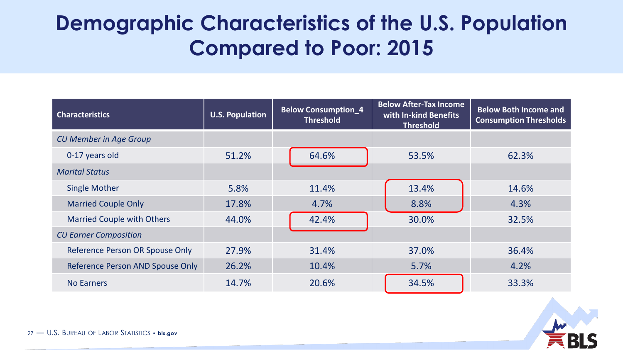# **Demographic Characteristics of the U.S. Population Compared to Poor: 2015**

| <b>Characteristics</b>            | <b>U.S. Population</b> | <b>Below Consumption_4</b><br><b>Threshold</b> | <b>Below After-Tax Income</b><br>with In-kind Benefits<br><b>Consumption Thresholds</b><br><b>Threshold</b> |       |
|-----------------------------------|------------------------|------------------------------------------------|-------------------------------------------------------------------------------------------------------------|-------|
| <b>CU Member in Age Group</b>     |                        |                                                |                                                                                                             |       |
| 0-17 years old                    | 51.2%                  | 64.6%                                          | 53.5%                                                                                                       | 62.3% |
| <b>Marital Status</b>             |                        |                                                |                                                                                                             |       |
| <b>Single Mother</b>              | 5.8%                   | 11.4%                                          | 13.4%                                                                                                       | 14.6% |
| <b>Married Couple Only</b>        | 17.8%                  | 4.7%                                           | 8.8%                                                                                                        | 4.3%  |
| <b>Married Couple with Others</b> | 44.0%                  | 42.4%                                          | 30.0%                                                                                                       | 32.5% |
| <b>CU Earner Composition</b>      |                        |                                                |                                                                                                             |       |
| Reference Person OR Spouse Only   | 27.9%                  | 31.4%                                          | 37.0%                                                                                                       | 36.4% |
| Reference Person AND Spouse Only  | 26.2%                  | 10.4%                                          | 5.7%                                                                                                        | 4.2%  |
| <b>No Earners</b>                 | 14.7%                  | 20.6%                                          | 34.5%                                                                                                       | 33.3% |

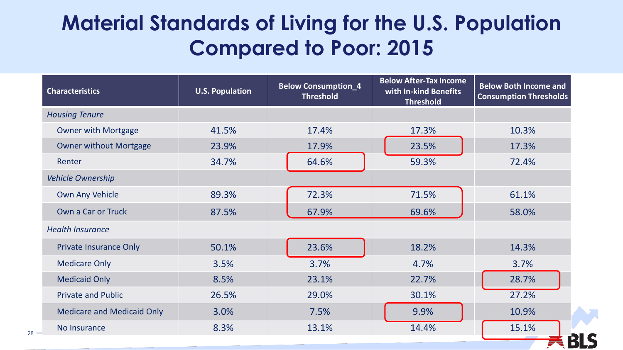# **Material Standards of Living for the U.S. Population Compared to Poor: 2015**

| <b>Characteristics</b>            | <b>U.S. Population</b> | <b>Below Consumption_4</b><br><b>Threshold</b> | <b>Below After-Tax Income</b><br>with In-kind Benefits<br><b>Threshold</b> | <b>Below Both Income and</b><br><b>Consumption Thresholds</b> |
|-----------------------------------|------------------------|------------------------------------------------|----------------------------------------------------------------------------|---------------------------------------------------------------|
| <b>Housing Tenure</b>             |                        |                                                |                                                                            |                                                               |
| <b>Owner with Mortgage</b>        | 41.5%                  | 17.4%                                          | 17.3%                                                                      | 10.3%                                                         |
| <b>Owner without Mortgage</b>     | 23.9%                  | 17.9%                                          | 23.5%                                                                      | 17.3%                                                         |
| Renter                            | 34.7%                  | 64.6%                                          | 59.3%                                                                      | 72.4%                                                         |
| <b>Vehicle Ownership</b>          |                        |                                                |                                                                            |                                                               |
| <b>Own Any Vehicle</b>            | 89.3%                  | 72.3%                                          | 71.5%                                                                      | 61.1%                                                         |
| Own a Car or Truck                | 87.5%                  | 67.9%                                          | 69.6%                                                                      | 58.0%                                                         |
| <b>Health Insurance</b>           |                        |                                                |                                                                            |                                                               |
| <b>Private Insurance Only</b>     | 50.1%                  | 23.6%                                          | 18.2%                                                                      | 14.3%                                                         |
| <b>Medicare Only</b>              | 3.5%                   | 3.7%                                           | 4.7%                                                                       | 3.7%                                                          |
| <b>Medicaid Only</b>              | 8.5%                   | 23.1%                                          | 22.7%                                                                      | 28.7%                                                         |
| <b>Private and Public</b>         | 26.5%                  | 29.0%                                          | 30.1%                                                                      | 27.2%                                                         |
| <b>Medicare and Medicaid Only</b> | 3.0%                   | 7.5%                                           | 9.9%                                                                       | 10.9%                                                         |
| No Insurance                      | 8.3%                   | 13.1%                                          | 14.4%                                                                      | 15.1%                                                         |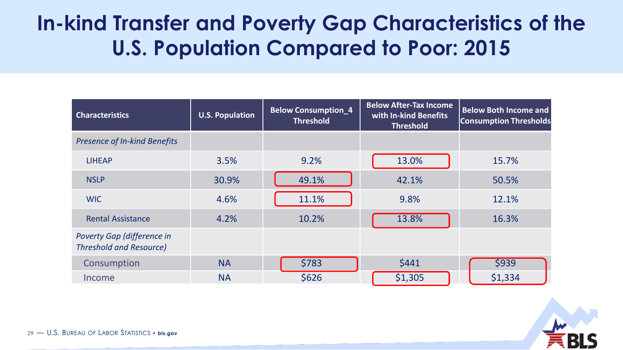# **In-kind Transfer and Poverty Gap Characteristics of the U.S. Population Compared to Poor: 2015**

| <b>Characteristics</b>                                       | <b>U.S. Population</b> | <b>Below Consumption_4</b><br><b>Threshold</b> | <b>Below After-Tax Income</b><br>with In-kind Benefits<br><b>Threshold</b> | <b>Below Both Income and</b><br><b>Consumption Thresholds</b> |
|--------------------------------------------------------------|------------------------|------------------------------------------------|----------------------------------------------------------------------------|---------------------------------------------------------------|
| <b>Presence of In-kind Benefits</b>                          |                        |                                                |                                                                            |                                                               |
| <b>LIHEAP</b>                                                | 3.5%                   | 9.2%                                           | 13.0%                                                                      | 15.7%                                                         |
| <b>NSLP</b>                                                  | 30.9%                  | 49.1%                                          | 42.1%                                                                      | 50.5%                                                         |
| <b>WIC</b>                                                   | 4.6%                   | 11.1%                                          | 9.8%                                                                       | 12.1%                                                         |
| <b>Rental Assistance</b>                                     | 4.2%                   | 10.2%                                          | 13.8%                                                                      | 16.3%                                                         |
| Poverty Gap (difference in<br><b>Threshold and Resource)</b> |                        |                                                |                                                                            |                                                               |
| Consumption                                                  | <b>NA</b>              | \$783                                          | \$441                                                                      | \$939                                                         |
| Income                                                       | <b>NA</b>              | \$626                                          | \$1,305                                                                    | \$1,334                                                       |

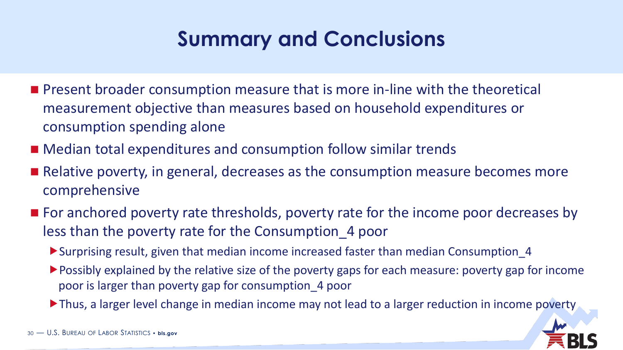# **Summary and Conclusions**

- **Phease 1** Present broader consumption measure that is more in-line with the theoretical measurement objective than measures based on household expenditures or consumption spending alone
- Median total expenditures and consumption follow similar trends
- Relative poverty, in general, decreases as the consumption measure becomes more comprehensive
- For anchored poverty rate thresholds, poverty rate for the income poor decreases by less than the poverty rate for the Consumption\_4 poor
	- Surprising result, given that median income increased faster than median Consumption\_4
	- Possibly explained by the relative size of the poverty gaps for each measure: poverty gap for income poor is larger than poverty gap for consumption\_4 poor
	- Thus, a larger level change in median income may not lead to a larger reduction in income poverty

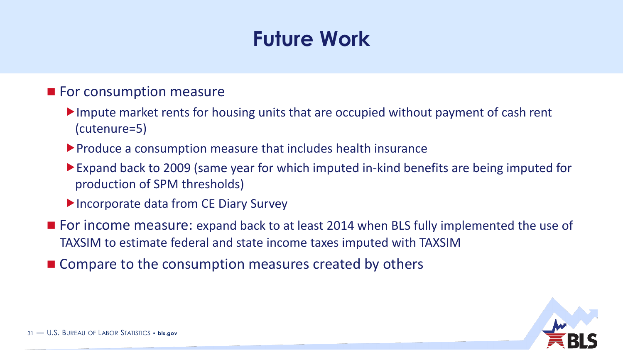# **Future Work**

#### **For consumption measure**

- Impute market rents for housing units that are occupied without payment of cash rent (cutenure=5)
- Produce a consumption measure that includes health insurance
- Expand back to 2009 (same year for which imputed in-kind benefits are being imputed for production of SPM thresholds)
- ▶ Incorporate data from CE Diary Survey
- For income measure: expand back to at least 2014 when BLS fully implemented the use of TAXSIM to estimate federal and state income taxes imputed with TAXSIM
- Compare to the consumption measures created by others

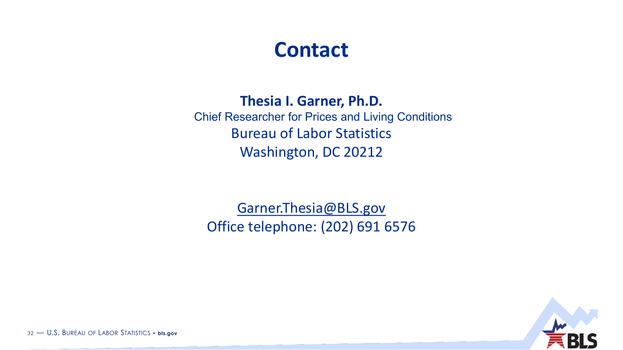### **Contact**

#### **Thesia I. Garner, Ph.D.**

Chief Researcher for Prices and Living Conditions Bureau of Labor Statistics Washington, DC 20212

[Garner.Thesia@BLS.gov](mailto:Garner.thesia@BLS.gov) Office telephone: (202) 691 6576



32 — U.S. BUREAU OF LABOR STATISTICS • **bls.gov**